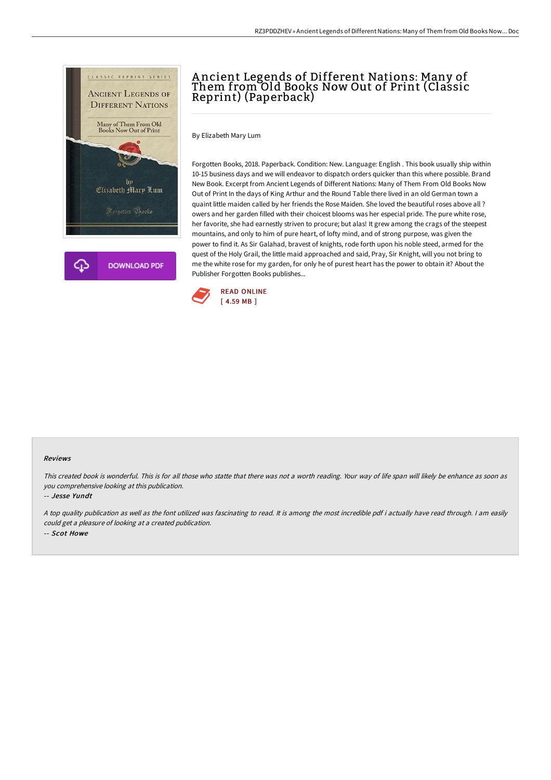

# A ncient Legends of Different Nations: Many of Them from Old Books Now Out of Print (Classic Reprint) (Paperback)

By Elizabeth Mary Lum

Forgotten Books, 2018. Paperback. Condition: New. Language: English . This book usually ship within 10-15 business days and we will endeavor to dispatch orders quicker than this where possible. Brand New Book. Excerpt from Ancient Legends of Different Nations: Many of Them From Old Books Now Out of Print In the days of King Arthur and the Round Table there lived in an old German town a quaint little maiden called by her friends the Rose Maiden. She loved the beautiful roses above all ? owers and her garden filled with their choicest blooms was her especial pride. The pure white rose, her favorite, she had earnestly striven to procure; but alas! It grew among the crags of the steepest mountains, and only to him of pure heart, of lofty mind, and of strong purpose, was given the power to find it. As Sir Galahad, bravest of knights, rode forth upon his noble steed, armed for the quest of the Holy Grail, the little maid approached and said, Pray, Sir Knight, will you not bring to me the white rose for my garden, for only he of purest heart has the power to obtain it? About the Publisher Forgotten Books publishes...



#### Reviews

This created book is wonderful. This is for all those who statte that there was not <sup>a</sup> worth reading. Your way of life span will likely be enhance as soon as you comprehensive looking at this publication.

-- Jesse Yundt

<sup>A</sup> top quality publication as well as the font utilized was fascinating to read. It is among the most incredible pdf i actually have read through. <sup>I</sup> am easily could get <sup>a</sup> pleasure of looking at <sup>a</sup> created publication. -- Scot Howe